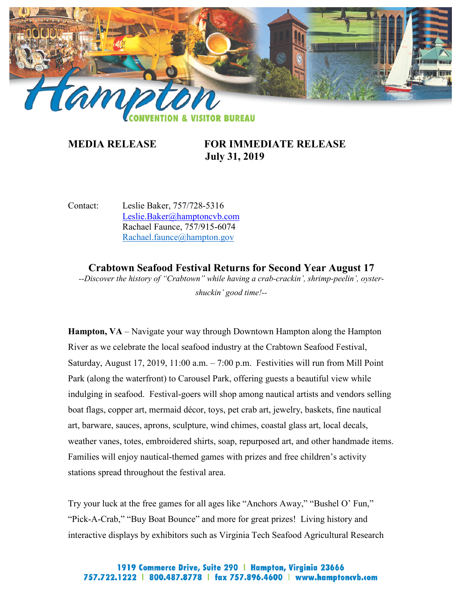

## **MEDIA RELEASE FOR IMMEDIATE RELEASE July 31, 2019**

Contact: Leslie Baker, 757/728-5316 [Leslie.Baker@hamptoncvb.com](mailto:Leslie.Baker@hamptoncvb.com) Rachael Faunce, 757/915-6074 [Rachael.faunce@hampton.gov](mailto:Rachael.faunce@hampton.gov)

**Crabtown Seafood Festival Returns for Second Year August 17** *--Discover the history of "Crabtown" while having a crab-crackin', shrimp-peelin', oystershuckin' good time!--*

**Hampton, VA** – Navigate your way through Downtown Hampton along the Hampton River as we celebrate the local seafood industry at the Crabtown Seafood Festival, Saturday, August 17, 2019, 11:00 a.m. – 7:00 p.m. Festivities will run from Mill Point Park (along the waterfront) to Carousel Park, offering guests a beautiful view while indulging in seafood. Festival-goers will shop among nautical artists and vendors selling boat flags, copper art, mermaid décor, toys, pet crab art, jewelry, baskets, fine nautical art, barware, sauces, aprons, sculpture, wind chimes, coastal glass art, local decals, weather vanes, totes, embroidered shirts, soap, repurposed art, and other handmade items. Families will enjoy nautical-themed games with prizes and free children's activity stations spread throughout the festival area.

Try your luck at the free games for all ages like "Anchors Away," "Bushel O' Fun," "Pick-A-Crab," "Buy Boat Bounce" and more for great prizes! Living history and interactive displays by exhibitors such as Virginia Tech Seafood Agricultural Research